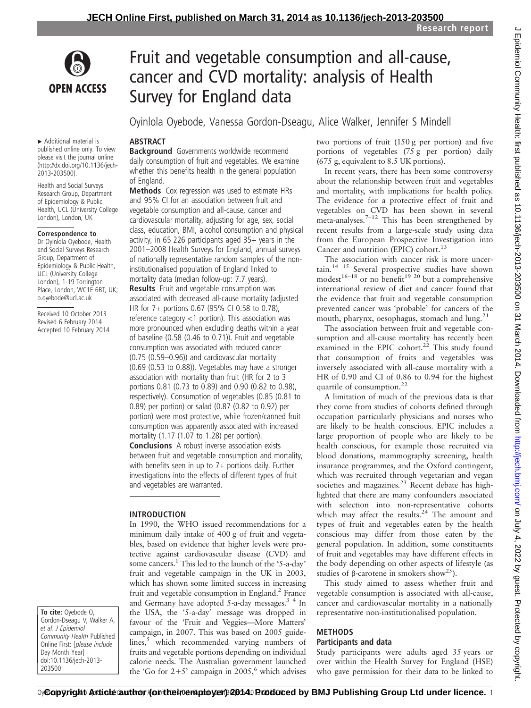

▸ Additional material is published online only. To view please visit the journal online [\(http://dx.doi.org/10.1136/jech-](http://dx.doi.org/10.1136/jech-2013-203500)

Health and Social Surveys Research Group, Department of Epidemiology & Public Health, UCL (University College London), London, UK Correspondence to Dr Oyinlola Oyebode, Health and Social Surveys Research Group, Department of Epidemiology & Public Health, UCL (University College London), 1-19 Torrington Place, London, WC1E 6BT, UK; o.oyebode@ucl.ac.uk Received 10 October 2013 Revised 6 February 2014 Accepted 10 February 2014

To cite: Oyebode O, Gordon-Dseagu V, Walker A, et al. J Epidemiol Community Health Published Online First: [please include Day Month Year] doi:10.1136/jech-2013-

203500

[2013-203500\)](http://dx.doi.org/10.1136/jech-2013-203500).

Fruit and vegetable consumption and all-cause, cancer and CVD mortality: analysis of Health Survey for England data

Oyinlola Oyebode, Vanessa Gordon-Dseagu, Alice Walker, Jennifer S Mindell

# **ABSTRACT**

Background Governments worldwide recommend daily consumption of fruit and vegetables. We examine whether this benefits health in the general population of England.

Methods Cox regression was used to estimate HRs and 95% CI for an association between fruit and vegetable consumption and all-cause, cancer and cardiovascular mortality, adjusting for age, sex, social class, education, BMI, alcohol consumption and physical activity, in 65 226 participants aged 35+ years in the 2001–2008 Health Surveys for England, annual surveys of nationally representative random samples of the noninstitutionalised population of England linked to mortality data (median follow-up: 7.7 years). **Results** Fruit and vegetable consumption was associated with decreased all-cause mortality (adjusted HR for 7+ portions 0.67 (95% CI 0.58 to 0.78), reference category <1 portion). This association was more pronounced when excluding deaths within a year of baseline (0.58 (0.46 to 0.71)). Fruit and vegetable consumption was associated with reduced cancer (0.75 (0.59–0.96)) and cardiovascular mortality (0.69 (0.53 to 0.88)). Vegetables may have a stronger association with mortality than fruit (HR for 2 to 3 portions 0.81 (0.73 to 0.89) and 0.90 (0.82 to 0.98), respectively). Consumption of vegetables (0.85 (0.81 to 0.89) per portion) or salad (0.87 (0.82 to 0.92) per portion) were most protective, while frozen/canned fruit consumption was apparently associated with increased mortality (1.17 (1.07 to 1.28) per portion).

Conclusions A robust inverse association exists between fruit and vegetable consumption and mortality, with benefits seen in up to 7+ portions daily. Further investigations into the effects of different types of fruit and vegetables are warranted.

#### INTRODUCTION

In 1990, the WHO issued recommendations for a minimum daily intake of 400 g of fruit and vegetables, based on evidence that higher levels were protective against cardiovascular disease (CVD) and some cancers. $<sup>1</sup>$  This led to the launch of the '5-a-day'</sup> fruit and vegetable campaign in the UK in 2003, which has shown some limited success in increasing fruit and vegetable consumption in England.<sup>2</sup> France and Germany have adopted 5-a-day messages.<sup>3</sup> <sup>4</sup> In the USA, the '5-a-day' message was dropped in favour of the 'Fruit and Veggies—More Matters' campaign, in 2007. This was based on 2005 guidelines,<sup>5</sup> which recommended varying numbers of fruits and vegetable portions depending on individual calorie needs. The Australian government launched the 'Go for  $2+5$ ' campaign in 2005,<sup>6</sup> which advises two portions of fruit (150 g per portion) and five portions of vegetables (75 g per portion) daily (675 g, equivalent to 8.5 UK portions).

In recent years, there has been some controversy about the relationship between fruit and vegetables and mortality, with implications for health policy. The evidence for a protective effect of fruit and vegetables on CVD has been shown in several meta-analyses.<sup>7-12</sup> This has been strengthened by recent results from a large-scale study using data from the European Prospective Investigation into Cancer and nutrition (EPIC) cohort.<sup>13</sup>

The association with cancer risk is more uncertain.<sup>14 15</sup> Several prospective studies have shown modest<sup>16-18</sup> or no benefit<sup>19 20</sup> but a comprehensive international review of diet and cancer found that the evidence that fruit and vegetable consumption prevented cancer was 'probable' for cancers of the mouth, pharynx, oesophagus, stomach and  $\text{lung.}^{21}$ 

The association between fruit and vegetable consumption and all-cause mortality has recently been examined in the EPIC cohort. $22$  This study found that consumption of fruits and vegetables was inversely associated with all-cause mortality with a HR of 0.90 and CI of 0.86 to 0.94 for the highest quartile of consumption.<sup>22</sup>

A limitation of much of the previous data is that they come from studies of cohorts defined through occupation particularly physicians and nurses who are likely to be health conscious. EPIC includes a large proportion of people who are likely to be health conscious, for example those recruited via blood donations, mammography screening, health insurance programmes, and the Oxford contingent, which was recruited through vegetarian and vegan societies and magazines.<sup>23</sup> Recent debate has highlighted that there are many confounders associated with selection into non-representative cohorts which may affect the results.<sup>24</sup> The amount and types of fruit and vegetables eaten by the health conscious may differ from those eaten by the general population. In addition, some constituents of fruit and vegetables may have different effects in the body depending on other aspects of lifestyle (as studies of β-carotene in smokers show<sup>25</sup>).

This study aimed to assess whether fruit and vegetable consumption is associated with all-cause, cancer and cardiovascular mortality in a nationally representative non-institutionalised population.

#### METHODS

#### Participants and data

Study participants were adults aged 35 years or over within the Health Survey for England (HSE) who gave permission for their data to be linked to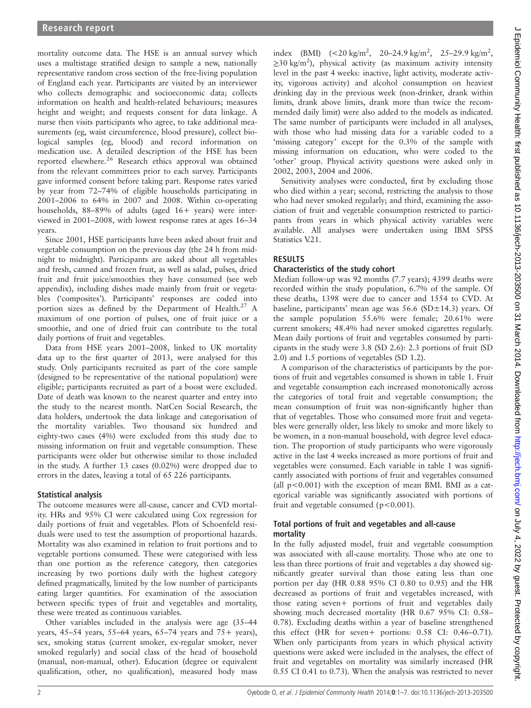mortality outcome data. The HSE is an annual survey which uses a multistage stratified design to sample a new, nationally representative random cross section of the free-living population of England each year. Participants are visited by an interviewer who collects demographic and socioeconomic data; collects information on health and health-related behaviours; measures height and weight; and requests consent for data linkage. A nurse then visits participants who agree, to take additional measurements (eg, waist circumference, blood pressure), collect biological samples (eg, blood) and record information on medication use. A detailed description of the HSE has been reported elsewhere.26 Research ethics approval was obtained from the relevant committees prior to each survey. Participants gave informed consent before taking part. Response rates varied by year from 72–74% of eligible households participating in 2001–2006 to 64% in 2007 and 2008. Within co-operating households, 88–89% of adults (aged 16+ years) were interviewed in 2001–2008, with lowest response rates at ages 16–34 years.

Since 2001, HSE participants have been asked about fruit and vegetable consumption on the previous day (the 24 h from midnight to midnight). Participants are asked about all vegetables and fresh, canned and frozen fruit, as well as salad, pulses, dried fruit and fruit juice/smoothies they have consumed (see web appendix), including dishes made mainly from fruit or vegetables ('composites'). Participants' responses are coded into portion sizes as defined by the Department of Health.<sup>27</sup> A maximum of one portion of pulses, one of fruit juice or a smoothie, and one of dried fruit can contribute to the total daily portions of fruit and vegetables.

Data from HSE years 2001–2008, linked to UK mortality data up to the first quarter of 2013, were analysed for this study. Only participants recruited as part of the core sample (designed to be representative of the national population) were eligible; participants recruited as part of a boost were excluded. Date of death was known to the nearest quarter and entry into the study to the nearest month. NatCen Social Research, the data holders, undertook the data linkage and categorisation of the mortality variables. Two thousand six hundred and eighty-two cases (4%) were excluded from this study due to missing information on fruit and vegetable consumption. These participants were older but otherwise similar to those included in the study. A further 13 cases (0.02%) were dropped due to errors in the dates, leaving a total of 65 226 participants.

## Statistical analysis

The outcome measures were all-cause, cancer and CVD mortality. HRs and 95% CI were calculated using Cox regression for daily portions of fruit and vegetables. Plots of Schoenfeld residuals were used to test the assumption of proportional hazards. Mortality was also examined in relation to fruit portions and to vegetable portions consumed. These were categorised with less than one portion as the reference category, then categories increasing by two portions daily with the highest category defined pragmatically, limited by the low number of participants eating larger quantities. For examination of the association between specific types of fruit and vegetables and mortality, these were treated as continuous variables.

Other variables included in the analysis were age (35–44 years, 45–54 years, 55–64 years, 65–74 years and 75+ years), sex, smoking status (current smoker, ex-regular smoker, never smoked regularly) and social class of the head of household (manual, non-manual, other). Education (degree or equivalent qualification, other, no qualification), measured body mass

index (BMI)  $(<20 \text{ kg/m}^2, 20-24.9 \text{ kg/m}^2, 25-29.9 \text{ kg/m}^2,$ ≥30 kg/m<sup>2</sup>), physical activity (as maximum activity intensity level in the past 4 weeks: inactive, light activity, moderate activity, vigorous activity) and alcohol consumption on heaviest drinking day in the previous week (non-drinker, drank within limits, drank above limits, drank more than twice the recommended daily limit) were also added to the models as indicated. The same number of participants were included in all analyses, with those who had missing data for a variable coded to a 'missing category' except for the 0.3% of the sample with missing information on education, who were coded to the 'other' group. Physical activity questions were asked only in 2002, 2003, 2004 and 2006.

Sensitivity analyses were conducted, first by excluding those who died within a year; second, restricting the analysis to those who had never smoked regularly; and third, examining the association of fruit and vegetable consumption restricted to participants from years in which physical activity variables were available. All analyses were undertaken using IBM SPSS Statistics V.21.

# RESULTS

## Characteristics of the study cohort

Median follow-up was 92 months (7.7 years); 4399 deaths were recorded within the study population, 6.7% of the sample. Of these deaths, 1398 were due to cancer and 1554 to CVD. At baseline, participants' mean age was  $56.6$  (SD $\pm$ 14.3) years. Of the sample population 55.6% were female; 20.61% were current smokers; 48.4% had never smoked cigarettes regularly. Mean daily portions of fruit and vegetables consumed by participants in the study were 3.8 (SD 2.6): 2.3 portions of fruit (SD 2.0) and 1.5 portions of vegetables (SD 1.2).

A comparison of the characteristics of participants by the portions of fruit and vegetables consumed is shown in table 1. Fruit and vegetable consumption each increased monotonically across the categories of total fruit and vegetable consumption; the mean consumption of fruit was non-significantly higher than that of vegetables. Those who consumed more fruit and vegetables were generally older, less likely to smoke and more likely to be women, in a non-manual household, with degree level education. The proportion of study participants who were vigorously active in the last 4 weeks increased as more portions of fruit and vegetables were consumed. Each variable in table 1 was significantly associated with portions of fruit and vegetables consumed (all  $p < 0.001$ ) with the exception of mean BMI. BMI as a categorical variable was significantly associated with portions of fruit and vegetable consumed ( $p < 0.001$ ).

## Total portions of fruit and vegetables and all-cause mortality

In the fully adjusted model, fruit and vegetable consumption was associated with all-cause mortality. Those who ate one to less than three portions of fruit and vegetables a day showed significantly greater survival than those eating less than one portion per day (HR 0.88 95% CI 0.80 to 0.95) and the HR decreased as portions of fruit and vegetables increased, with those eating seven+ portions of fruit and vegetables daily showing much decreased mortality (HR 0.67 95% CI: 0.58– 0.78). Excluding deaths within a year of baseline strengthened this effect (HR for seven+ portions: 0.58 CI: 0.46–0.71). When only participants from years in which physical activity questions were asked were included in the analyses, the effect of fruit and vegetables on mortality was similarly increased (HR 0.55 CI 0.41 to 0.73). When the analysis was restricted to never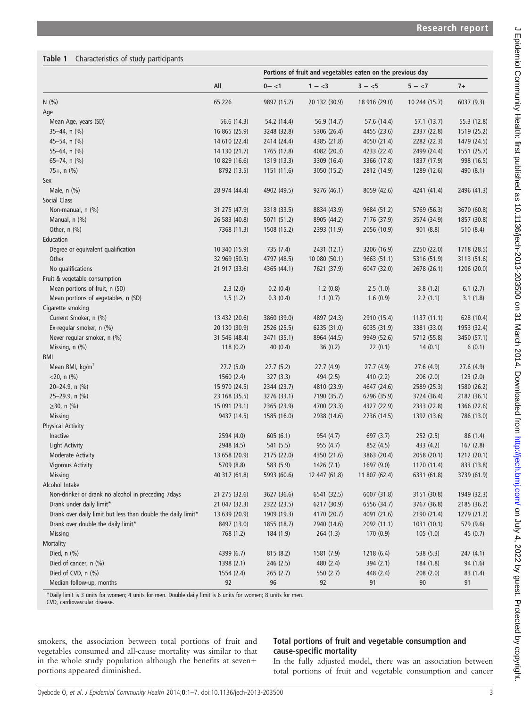#### Table 1 Characteristics of study participants

|                                                              |               |             | Portions of fruit and vegetables eaten on the previous day |               |               |             |
|--------------------------------------------------------------|---------------|-------------|------------------------------------------------------------|---------------|---------------|-------------|
|                                                              | All           | $0 - < 1$   | $1 - <3$                                                   | $3 - 5$       | $5 - < 7$     | $7+$        |
| N(%)                                                         | 65 226        | 9897 (15.2) | 20 132 (30.9)                                              | 18 916 (29.0) | 10 244 (15.7) | 6037 (9.3)  |
| Age                                                          |               |             |                                                            |               |               |             |
| Mean Age, years (SD)                                         | 56.6 (14.3)   | 54.2 (14.4) | 56.9 (14.7)                                                | 57.6 (14.4)   | 57.1 (13.7)   | 55.3 (12.8) |
| 35-44, n (%)                                                 | 16 865 (25.9) | 3248 (32.8) | 5306 (26.4)                                                | 4455 (23.6)   | 2337 (22.8)   | 1519 (25.2) |
| 45-54, n (%)                                                 | 14 610 (22.4) | 2414 (24.4) | 4385 (21.8)                                                | 4050 (21.4)   | 2282 (22.3)   | 1479 (24.5) |
| 55-64, n (%)                                                 | 14 130 (21.7) | 1765 (17.8) | 4082 (20.3)                                                | 4233 (22.4)   | 2499 (24.4)   | 1551 (25.7) |
| 65-74, n (%)                                                 | 10 829 (16.6) | 1319 (13.3) | 3309 (16.4)                                                | 3366 (17.8)   | 1837 (17.9)   | 998 (16.5)  |
| 75+, $n$ (%)                                                 | 8792 (13.5)   | 1151 (11.6) | 3050 (15.2)                                                | 2812 (14.9)   | 1289 (12.6)   | 490 (8.1)   |
| Sex                                                          |               |             |                                                            |               |               |             |
| Male, n (%)                                                  | 28 974 (44.4) | 4902 (49.5) | 9276 (46.1)                                                | 8059 (42.6)   | 4241 (41.4)   | 2496 (41.3) |
| Social Class                                                 |               |             |                                                            |               |               |             |
| Non-manual, n (%)                                            | 31 275 (47.9) | 3318 (33.5) | 8834 (43.9)                                                | 9684 (51.2)   | 5769 (56.3)   | 3670 (60.8) |
| Manual, $n$ $(\%)$                                           | 26 583 (40.8) | 5071 (51.2) | 8905 (44.2)                                                | 7176 (37.9)   | 3574 (34.9)   | 1857 (30.8) |
| Other, n (%)                                                 | 7368 (11.3)   | 1508 (15.2) | 2393 (11.9)                                                | 2056 (10.9)   | 901(8.8)      | 510(8.4)    |
| Education                                                    |               |             |                                                            |               |               |             |
| Degree or equivalent qualification                           | 10 340 (15.9) | 735 (7.4)   | 2431 (12.1)                                                | 3206 (16.9)   | 2250 (22.0)   | 1718 (28.5) |
| Other                                                        | 32 969 (50.5) | 4797 (48.5) | 10 080 (50.1)                                              | 9663 (51.1)   | 5316 (51.9)   | 3113 (51.6) |
| No qualifications                                            | 21 917 (33.6) | 4365 (44.1) | 7621 (37.9)                                                | 6047 (32.0)   | 2678 (26.1)   | 1206 (20.0) |
| Fruit & vegetable consumption                                |               |             |                                                            |               |               |             |
| Mean portions of fruit, n (SD)                               | 2.3(2.0)      | 0.2(0.4)    | 1.2(0.8)                                                   | 2.5(1.0)      | 3.8(1.2)      | 6.1(2.7)    |
| Mean portions of vegetables, n (SD)                          | 1.5(1.2)      | 0.3(0.4)    | 1.1(0.7)                                                   | 1.6(0.9)      | 2.2(1.1)      | 3.1(1.8)    |
| Cigarette smoking                                            |               |             |                                                            |               |               |             |
| Current Smoker, n (%)                                        | 13 432 (20.6) | 3860 (39.0) | 4897 (24.3)                                                | 2910 (15.4)   | 1137(11.1)    | 628 (10.4)  |
| Ex-regular smoker, n (%)                                     | 20 130 (30.9) | 2526 (25.5) | 6235 (31.0)                                                | 6035 (31.9)   | 3381 (33.0)   | 1953 (32.4) |
| Never regular smoker, n (%)                                  | 31 546 (48.4) | 3471 (35.1) | 8964 (44.5)                                                | 9949 (52.6)   | 5712 (55.8)   | 3450 (57.1) |
| Missing, n (%)                                               | 118(0.2)      | 40(0.4)     | 36(0.2)                                                    | 22(0.1)       | 14(0.1)       | 6(0.1)      |
| <b>BMI</b>                                                   |               |             |                                                            |               |               |             |
| Mean BMI, kg/m <sup>2</sup>                                  | 27.7(5.0)     | 27.7(5.2)   | 27.7(4.9)                                                  | 27.7(4.9)     | 27.6(4.9)     | 27.6(4.9)   |
| $<$ 20, n $(\% )$                                            | 1560(2.4)     | 327(3.3)    | 494 (2.5)                                                  | 410(2.2)      | 206(2.0)      | 123(2.0)    |
| 20-24.9, n (%)                                               | 15 970 (24.5) | 2344 (23.7) | 4810 (23.9)                                                | 4647 (24.6)   | 2589 (25.3)   | 1580 (26.2) |
| 25-29.9, n (%)                                               | 23 168 (35.5) | 3276 (33.1) | 7190 (35.7)                                                | 6796 (35.9)   | 3724 (36.4)   | 2182 (36.1) |
| $≥30$ , n (%)                                                | 15 091 (23.1) | 2365 (23.9) | 4700 (23.3)                                                | 4327 (22.9)   | 2333 (22.8)   | 1366 (22.6) |
| Missing                                                      | 9437 (14.5)   | 1585 (16.0) | 2938 (14.6)                                                | 2736 (14.5)   | 1392 (13.6)   | 786 (13.0)  |
| <b>Physical Activity</b>                                     |               |             |                                                            |               |               |             |
| Inactive                                                     | 2594 (4.0)    | 605(6.1)    | 954 (4.7)                                                  | 697 (3.7)     | 252(2.5)      | 86(1.4)     |
| <b>Light Activity</b>                                        | 2948 (4.5)    | 541 (5.5)   | 955 (4.7)                                                  | 852 (4.5)     | 433 (4.2)     | 167(2.8)    |
| <b>Moderate Activity</b>                                     | 13 658 (20.9) | 2175 (22.0) | 4350 (21.6)                                                | 3863 (20.4)   | 2058 (20.1)   | 1212 (20.1) |
| <b>Vigorous Activity</b>                                     | 5709 (8.8)    | 583 (5.9)   | 1426(7.1)                                                  | 1697 (9.0)    | 1170 (11.4)   | 833 (13.8)  |
| Missing                                                      | 40 317 (61.8) | 5993 (60.6) | 12 447 (61.8)                                              | 11 807 (62.4) | 6331 (61.8)   | 3739 (61.9) |
| Alcohol Intake                                               |               |             |                                                            |               |               |             |
| Non-drinker or drank no alcohol in preceding 7days           | 21 275 (32.6) | 3627 (36.6) | 6541 (32.5)                                                | 6007 (31.8)   | 3151 (30.8)   | 1949 (32.3) |
| Drank under daily limit*                                     | 21 047 (32.3) | 2322 (23.5) | 6217 (30.9)                                                | 6556 (34.7)   | 3767 (36.8)   | 2185 (36.2) |
| Drank over daily limit but less than double the daily limit* | 13 639 (20.9) | 1909 (19.3) | 4170 (20.7)                                                | 4091 (21.6)   | 2190 (21.4)   | 1279 (21.2) |
| Drank over double the daily limit*                           | 8497 (13.0)   | 1855 (18.7) | 2940 (14.6)                                                | 2092 (11.1)   | 1031 (10.1)   | 579 (9.6)   |
| Missing                                                      | 768 (1.2)     | 184 (1.9)   | 264(1.3)                                                   | 170 (0.9)     | 105(1.0)      | 45(0.7)     |
| Mortality                                                    |               |             |                                                            |               |               |             |
| Died, n (%)                                                  | 4399 (6.7)    | 815(8.2)    | 1581 (7.9)                                                 | 1218(6.4)     | 538(5.3)      | 247(4.1)    |
| Died of cancer, n (%)                                        | 1398 (2.1)    | 246(2.5)    | 480 (2.4)                                                  | 394 (2.1)     | 184 (1.8)     | 94 (1.6)    |
| Died of CVD, n (%)                                           | 1554 (2.4)    | 265(2.7)    | 550 (2.7)                                                  | 448 (2.4)     | 208(2.0)      | 83(1.4)     |
| Median follow-up, months                                     | 92            | 96          | 92                                                         | 91            | 90            | 91          |

\*Daily limit is 3 units for women; 4 units for men. Double daily limit is 6 units for women; 8 units for men. CVD, cardiovascular disease.

smokers, the association between total portions of fruit and vegetables consumed and all-cause mortality was similar to that in the whole study population although the benefits at seven+ portions appeared diminished.

## Total portions of fruit and vegetable consumption and cause-specific mortality

In the fully adjusted model, there was an association between total portions of fruit and vegetable consumption and cancer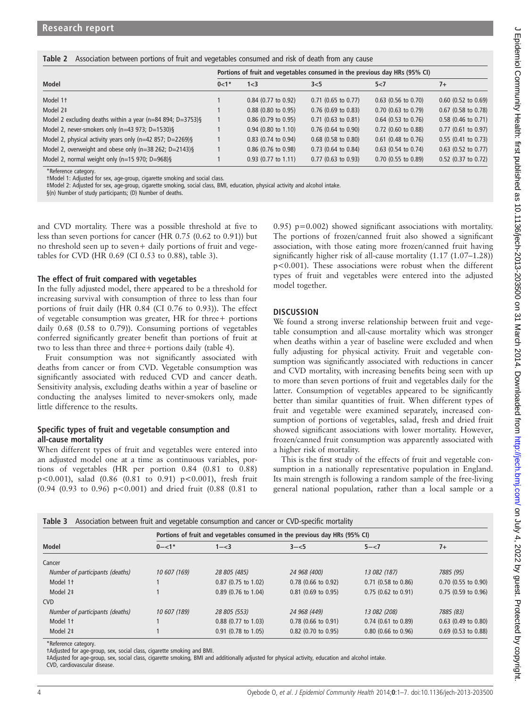| Table 2 Association between portions of fruit and vegetables consumed and risk of death from any cause |  |
|--------------------------------------------------------------------------------------------------------|--|
|--------------------------------------------------------------------------------------------------------|--|

|                                                               | Portions of fruit and vegetables consumed in the previous day HRs (95% CI) |                       |                       |                       |                       |
|---------------------------------------------------------------|----------------------------------------------------------------------------|-----------------------|-----------------------|-----------------------|-----------------------|
| Model                                                         | $0<1*$                                                                     | 1<3                   | 3<5                   | 5 < 7                 | $7+$                  |
| Model 11                                                      |                                                                            | $0.84$ (0.77 to 0.92) | $0.71$ (0.65 to 0.77) | $0.63$ (0.56 to 0.70) | $0.60$ (0.52 to 0.69) |
| Model 2‡                                                      |                                                                            | $0.88$ (0.80 to 0.95) | $0.76$ (0.69 to 0.83) | $0.70$ (0.63 to 0.79) | $0.67$ (0.58 to 0.78) |
| Model 2 excluding deaths within a year ( $n=84894$ ; D=3753)§ |                                                                            | $0.86$ (0.79 to 0.95) | $0.71$ (0.63 to 0.81) | $0.64$ (0.53 to 0.76) | $0.58$ (0.46 to 0.71) |
| Model 2, never-smokers only (n=43 973; $D=1530$ )§            |                                                                            | $0.94$ (0.80 to 1.10) | $0.76$ (0.64 to 0.90) | $0.72$ (0.60 to 0.88) | $0.77$ (0.61 to 0.97) |
| Model 2, physical activity years only (n=42 857; D=2269)§     |                                                                            | $0.83$ (0.74 to 0.94) | $0.68$ (0.58 to 0.80) | $0.61$ (0.48 to 0.76) | $0.55$ (0.41 to 0.73) |
| Model 2, overweight and obese only ( $n=38$ 262; D=2143)§     |                                                                            | $0.86$ (0.76 to 0.98) | $0.73$ (0.64 to 0.84) | $0.63$ (0.54 to 0.74) | $0.63$ (0.52 to 0.77) |
| Model 2, normal weight only (n=15 970; $D=968$ )§             |                                                                            | $0.93$ (0.77 to 1.11) | $0.77$ (0.63 to 0.93) | $0.70$ (0.55 to 0.89) | 0.52 (0.37 to 0.72)   |

\*Reference category.

†Model 1: Adjusted for sex, age-group, cigarette smoking and social class.

‡Model 2: Adjusted for sex, age-group, cigarette smoking, social class, BMI, education, physical activity and alcohol intake. §(n) Number of study participants; (D) Number of deaths.

and CVD mortality. There was a possible threshold at five to less than seven portions for cancer (HR 0.75 (0.62 to 0.91)) but no threshold seen up to seven+ daily portions of fruit and vegetables for CVD (HR 0.69 (CI 0.53 to 0.88), table 3).

#### The effect of fruit compared with vegetables

In the fully adjusted model, there appeared to be a threshold for increasing survival with consumption of three to less than four portions of fruit daily (HR 0.84 (CI 0.76 to 0.93)). The effect of vegetable consumption was greater, HR for three+ portions daily 0.68 (0.58 to 0.79)). Consuming portions of vegetables conferred significantly greater benefit than portions of fruit at two to less than three and three+ portions daily (table 4).

Fruit consumption was not significantly associated with deaths from cancer or from CVD. Vegetable consumption was significantly associated with reduced CVD and cancer death. Sensitivity analysis, excluding deaths within a year of baseline or conducting the analyses limited to never-smokers only, made little difference to the results.

## Specific types of fruit and vegetable consumption and all-cause mortality

When different types of fruit and vegetables were entered into an adjusted model one at a time as continuous variables, portions of vegetables (HR per portion 0.84 (0.81 to 0.88) p<0.001), salad (0.86 (0.81 to 0.91) p<0.001), fresh fruit (0.94 (0.93 to 0.96) p<0.001) and dried fruit (0.88 (0.81 to

0.95) p=0.002) showed significant associations with mortality. The portions of frozen/canned fruit also showed a significant association, with those eating more frozen/canned fruit having significantly higher risk of all-cause mortality (1.17 (1.07–1.28)) p<0.001). These associations were robust when the different types of fruit and vegetables were entered into the adjusted model together.

## **DISCUSSION**

We found a strong inverse relationship between fruit and vegetable consumption and all-cause mortality which was stronger when deaths within a year of baseline were excluded and when fully adjusting for physical activity. Fruit and vegetable consumption was significantly associated with reductions in cancer and CVD mortality, with increasing benefits being seen with up to more than seven portions of fruit and vegetables daily for the latter. Consumption of vegetables appeared to be significantly better than similar quantities of fruit. When different types of fruit and vegetable were examined separately, increased consumption of portions of vegetables, salad, fresh and dried fruit showed significant associations with lower mortality. However, frozen/canned fruit consumption was apparently associated with a higher risk of mortality.

This is the first study of the effects of fruit and vegetable consumption in a nationally representative population in England. Its main strength is following a random sample of the free-living general national population, rather than a local sample or a

| Association between fruit and vegetable consumption and cancer or CVD-specific mortality<br>Table 3 |                                                                            |                       |                       |                       |                       |  |  |  |  |
|-----------------------------------------------------------------------------------------------------|----------------------------------------------------------------------------|-----------------------|-----------------------|-----------------------|-----------------------|--|--|--|--|
|                                                                                                     | Portions of fruit and vegetables consumed in the previous day HRs (95% CI) |                       |                       |                       |                       |  |  |  |  |
| <b>Model</b>                                                                                        | $0 - < 1$ *                                                                | $1 - < 3$             | $3 - 5$               | $5 - < 7$             | $7+$                  |  |  |  |  |
| Cancer                                                                                              |                                                                            |                       |                       |                       |                       |  |  |  |  |
| Number of participants (deaths)                                                                     | 10 607 (169)                                                               | 28 805 (485)          | 24 968 (400)          | 13 082 (187)          | 7885 (95)             |  |  |  |  |
| Model 1 <sup>+</sup>                                                                                |                                                                            | $0.87$ (0.75 to 1.02) | $0.78$ (0.66 to 0.92) | $0.71$ (0.58 to 0.86) | 0.70 (0.55 to 0.90)   |  |  |  |  |
| Model 2‡                                                                                            |                                                                            | $0.89$ (0.76 to 1.04) | $0.81$ (0.69 to 0.95) | $0.75$ (0.62 to 0.91) | 0.75 (0.59 to 0.96)   |  |  |  |  |
| <b>CVD</b>                                                                                          |                                                                            |                       |                       |                       |                       |  |  |  |  |
| Number of participants (deaths)                                                                     | 10 607 (189)                                                               | 28 805 (553)          | 24 968 (449)          | 13 082 (208)          | 7885 (83)             |  |  |  |  |
| Model 1 <sup>+</sup>                                                                                |                                                                            | $0.88$ (0.77 to 1.03) | $0.78$ (0.66 to 0.91) | $0.74$ (0.61 to 0.89) | $0.63$ (0.49 to 0.80) |  |  |  |  |
| Model 2‡                                                                                            |                                                                            | 0.91 (0.78 to 1.05)   | 0.82 (0.70 to 0.95)   | $0.80$ (0.66 to 0.96) | 0.69 (0.53 to 0.88)   |  |  |  |  |

\*Reference category.

†Adjusted for age-group, sex, social class, cigarette smoking and BMI.

‡Adjusted for age-group, sex, social class, cigarette smoking, BMI and additionally adjusted for physical activity, education and alcohol intake. CVD, cardiovascular disease.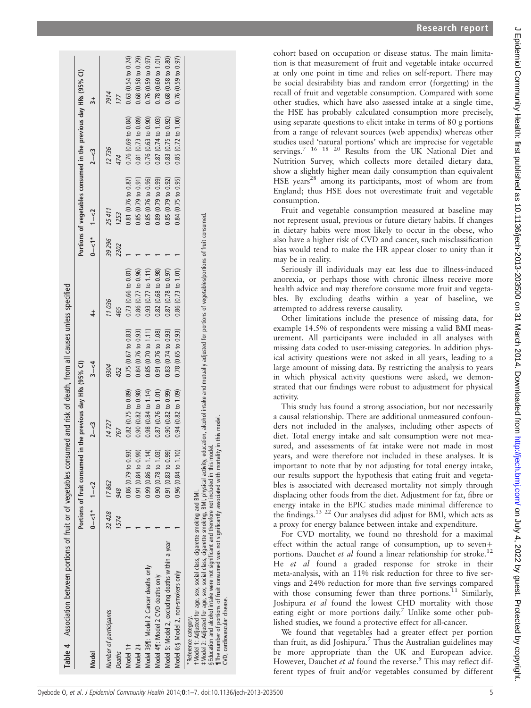| Table 4 Association between portions of fruit or of vegetables consumed and risk of death, from all causes unless specified                                                                                                                                                                                                                                                                                                                                                                                                                         |                         |                                                             |                               |                               |                       |                       |                                                                  |                           |                           |
|-----------------------------------------------------------------------------------------------------------------------------------------------------------------------------------------------------------------------------------------------------------------------------------------------------------------------------------------------------------------------------------------------------------------------------------------------------------------------------------------------------------------------------------------------------|-------------------------|-------------------------------------------------------------|-------------------------------|-------------------------------|-----------------------|-----------------------|------------------------------------------------------------------|---------------------------|---------------------------|
|                                                                                                                                                                                                                                                                                                                                                                                                                                                                                                                                                     |                         | Portions of fruit consumed in the previous day HRs (95% CI) |                               |                               |                       |                       | Portions of vegetables consumed in the previous day HRs (95% CI) |                           |                           |
| Model                                                                                                                                                                                                                                                                                                                                                                                                                                                                                                                                               | $0 - < 1$ $+$ $1 - < 2$ |                                                             | $2 - 3$                       | $3 - 4$                       | $\ddot{ }$            | $0 - < 1$ * $1 - < 2$ |                                                                  | $2 - 3$                   | $\frac{1}{2}$             |
| Number of participants                                                                                                                                                                                                                                                                                                                                                                                                                                                                                                                              | 32428                   | 17862                                                       | 14727                         | 9304                          | 11 036                | 39 296                | 25411                                                            | 12736                     | 7914                      |
| Deaths                                                                                                                                                                                                                                                                                                                                                                                                                                                                                                                                              | 1574                    | 948                                                         | 767                           | 452                           | 465                   | 2302                  | 1253                                                             | 474                       | 177                       |
| Model 1t                                                                                                                                                                                                                                                                                                                                                                                                                                                                                                                                            |                         | 0.86(0.79 t 0.93)                                           | $0.82$ (0.75 to 0.89)         | $0.75(0.67 \text{ to } 0.83)$ | 0.73(0.66 to 0.81)    |                       | $0.81$ (0.76 to $0.87$ )                                         | $0.76$ $(0.69$ to $0.84)$ | $0.63$ (0.54 to 0.74)     |
| Model 2#                                                                                                                                                                                                                                                                                                                                                                                                                                                                                                                                            |                         | $0.91$ (0.84 to 0.99)                                       | $0.90$ $(0.82$ to $0.98)$     | $0.84$ (0.76 to 0.93)         | 0.86(0.77 t 0.96)     |                       | $0.85$ $(0.79$ to $0.91)$                                        | 0.81 (0.73 to 0.89)       | $0.68$ (0.58 to 0.79)     |
| Model 3§¶: Model 2 Cancer deaths only                                                                                                                                                                                                                                                                                                                                                                                                                                                                                                               |                         | $0.99$ (0.86 to 1.14)                                       | $0.98$ $(0.84$ to $1.14)$     | $0.85(0.70 \text{ to } 1.11)$ | 0.93 (0.77 to 1.11)   |                       | 0.85(0.76 to 0.96)                                               | $0.76$ $(0.63$ to $0.90)$ | $0.76$ $(0.59$ to $0.97)$ |
| Model 41: Model 2 CVD deaths only                                                                                                                                                                                                                                                                                                                                                                                                                                                                                                                   |                         | $0.90$ (0.78 to 1.03)                                       | $0.87$ (0.76 to 1.01)         | 0.91 (0.76 to 1.08)           | $0.82$ (0.68 to 0.98) |                       | $0.89$ $(0.79$ to $0.99)$                                        | $0.87$ (0.74 to 1.03)     | $0.78$ (0.60 to $1.01$ )  |
| Model 5: Model 2, excluding deaths within a year                                                                                                                                                                                                                                                                                                                                                                                                                                                                                                    |                         | $0.91$ $(0.83$ to $0.99)$                                   | $0.90(0.82 \text{ to } 0.99)$ | $0.83$ (0.74 to 0.93)         | 0.87(0.78 to 0.97)    |                       | $0.85$ $(0.79$ to $0.92)$                                        | $0.83$ $(0.75$ to $0.92)$ | $0.68$ $(0.58$ to $0.80)$ |
| Model 6:§ Model 2, non-smokers only                                                                                                                                                                                                                                                                                                                                                                                                                                                                                                                 |                         | $0.96$ $(0.84$ to $1.10)$                                   | $0.94$ $(0.82$ to $1.09)$     | $0.78$ (0.65 to 0.93)         | 0.86(0.73 to 1.01)    |                       | $0.84$ (0.75 to 0.95)                                            | $0.85$ $(0.72$ to $1.00)$ | $0.76$ $(0.59$ to $0.97)$ |
| #Model 2: Adjusted for age, sex, social class, cigarette smoking, BMI, physical activity, education, alcohol intake and mutually adjusted for portions of vegetables/portions of fruit consumed.<br>$\P$ The number of portions of fruit consumed was not significantly associated with mortality in this model.<br>SEducation and alcohol intake were not significant and therefore not included in this mode<br>tModel 1: Adjusted for age, sex, social class, cigarette smoking and BMI.<br>CVD, cardiovascular disease.<br>*Reference category. |                         |                                                             |                               |                               |                       |                       |                                                                  |                           |                           |

Research report

cohort based on occupation or disease status. The main limitation is that measurement of fruit and vegetable intake occurred at only one point in time and relies on self-report. There may be social desirability bias and random error (forgetting) in the recall of fruit and vegetable consumption. Compared with some other studies, which have also assessed intake at a single time, the HSE has probably calculated consumption more precisely, using separate questions to elicit intake in terms of 80 g portions from a range of relevant sources (web appendix) whereas other studies used 'natural portions' which are imprecise for vegetable servings.<sup>7</sup> <sup>16</sup> <sup>18</sup> <sup>20</sup> Results from the UK National Diet and Nutrition Survey, which collects more detailed dietary data, show a slightly higher mean daily consumption than equivalent HSE years<sup>28</sup> among its participants, most of whom are from England; thus HSE does not overestimate fruit and vegetable consumption.

Fruit and vegetable consumption measured at baseline may not represent usual, previous or future dietary habits. If changes in dietary habits were most likely to occur in the obese, who also have a higher risk of CVD and cancer, such misclassification bias would tend to make the HR appear closer to unity than it may be in reality.

Seriously ill individuals may eat less due to illness-induced anorexia, or perhaps those with chronic illness receive more health advice and may therefore consume more fruit and vegetables. By excluding deaths within a year of baseline, we attempted to address reverse causality.

Other limitations include the presence of missing data, for example 14.5% of respondents were missing a valid BMI measurement. All participants were included in all analyses with missing data coded to user-missing categories. In addition physical activity questions were not asked in all years, leading to a large amount of missing data. By restricting the analysis to years in which physical activity questions were asked, we demonstrated that our findings were robust to adjustment for physical activity.

This study has found a strong association, but not necessarily a causal relationship. There are additional unmeasured confounders not included in the analyses, including other aspects of diet. Total energy intake and salt consumption were not measured, and assessments of fat intake were not made in most years, and were therefore not included in these analyses. It is important to note that by not adjusting for total energy intake, our results support the hypothesis that eating fruit and vegetables is associated with decreased mortality not simply through displacing other foods from the diet. Adjustment for fat, fibre or energy intake in the EPIC studies made minimal difference to the findings.<sup>13 22</sup> Our analyses did adjust for BMI, which acts as a proxy for energy balance between intake and expenditure.

For CVD mortality, we found no threshold for a maximal effect within the actual range of consumption, up to seven+ portions. Dauchet et al found a linear relationship for stroke.<sup>12</sup> He et al found a graded response for stroke in their meta-analysis, with an 11% risk reduction for three to five servings and 24% reduction for more than five servings compared with those consuming fewer than three portions.<sup>11</sup> Similarly, Joshipura et al found the lowest CHD mortality with those eating eight or more portions daily.<sup>7</sup> Unlike some other published studies, we found a protective effect for all-cancer.

We found that vegetables had a greater effect per portion than fruit, as did Joshipura.<sup>7</sup> Thus the Australian guidelines may be more appropriate than the UK and European advice. However, Dauchet et al found the reverse.<sup>9</sup> This may reflect different types of fruit and/or vegetables consumed by different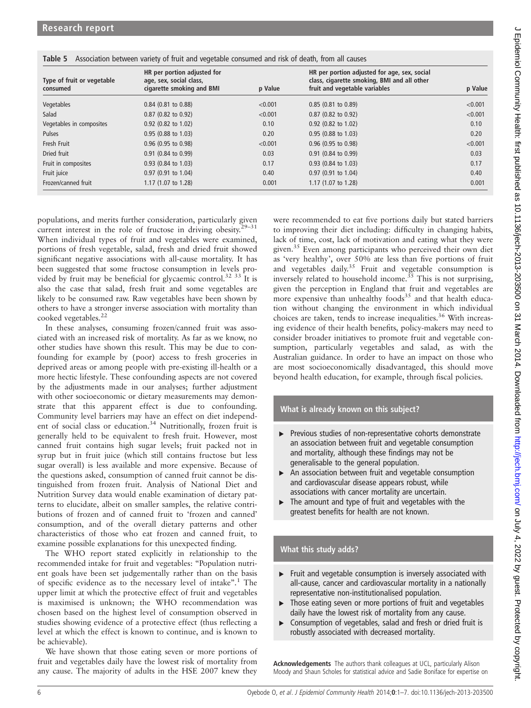|  | Table 5 Association between variety of fruit and vegetable consumed and risk of death, from all causes |  |
|--|--------------------------------------------------------------------------------------------------------|--|
|  |                                                                                                        |  |

| Type of fruit or vegetable<br>consumed | HR per portion adjusted for<br>age, sex, social class,<br>cigarette smoking and BMI | p Value | HR per portion adjusted for age, sex, social<br>class, cigarette smoking, BMI and all other<br>fruit and vegetable variables | p Value |
|----------------------------------------|-------------------------------------------------------------------------------------|---------|------------------------------------------------------------------------------------------------------------------------------|---------|
| Vegetables                             | $0.84$ (0.81 to 0.88)                                                               | < 0.001 | $0.85$ (0.81 to 0.89)                                                                                                        | < 0.001 |
| Salad                                  | $0.87$ (0.82 to 0.92)                                                               | < 0.001 | $0.87$ (0.82 to 0.92)                                                                                                        | < 0.001 |
| Vegetables in composites               | 0.92 (0.82 to 1.02)                                                                 | 0.10    | 0.92 (0.82 to 1.02)                                                                                                          | 0.10    |
| Pulses                                 | $0.95$ (0.88 to 1.03)                                                               | 0.20    | $0.95$ (0.88 to 1.03)                                                                                                        | 0.20    |
| Fresh Fruit                            | $0.96$ (0.95 to 0.98)                                                               | < 0.001 | $0.96$ (0.95 to 0.98)                                                                                                        | < 0.001 |
| Dried fruit                            | $0.91$ $(0.84$ to $0.99)$                                                           | 0.03    | $0.91$ (0.84 to 0.99)                                                                                                        | 0.03    |
| Fruit in composites                    | $0.93$ (0.84 to 1.03)                                                               | 0.17    | $0.93$ (0.84 to 1.03)                                                                                                        | 0.17    |
| Fruit juice                            | $0.97$ (0.91 to 1.04)                                                               | 0.40    | $0.97$ (0.91 to 1.04)                                                                                                        | 0.40    |
| Frozen/canned fruit                    | 1.17 (1.07 to 1.28)                                                                 | 0.001   | 1.17 (1.07 to 1.28)                                                                                                          | 0.001   |

populations, and merits further consideration, particularly given current interest in the role of fructose in driving obesity.<sup>2</sup> When individual types of fruit and vegetables were examined, portions of fresh vegetable, salad, fresh and dried fruit showed significant negative associations with all-cause mortality. It has been suggested that some fructose consumption in levels provided by fruit may be beneficial for glycaemic control.<sup>32</sup> <sup>33</sup> It is also the case that salad, fresh fruit and some vegetables are likely to be consumed raw. Raw vegetables have been shown by others to have a stronger inverse association with mortality than cooked vegetables.<sup>22</sup>

In these analyses, consuming frozen/canned fruit was associated with an increased risk of mortality. As far as we know, no other studies have shown this result. This may be due to confounding for example by (poor) access to fresh groceries in deprived areas or among people with pre-existing ill-health or a more hectic lifestyle. These confounding aspects are not covered by the adjustments made in our analyses; further adjustment with other socioeconomic or dietary measurements may demonstrate that this apparent effect is due to confounding. Community level barriers may have an effect on diet independent of social class or education.<sup>34</sup> Nutritionally, frozen fruit is generally held to be equivalent to fresh fruit. However, most canned fruit contains high sugar levels; fruit packed not in syrup but in fruit juice (which still contains fructose but less sugar overall) is less available and more expensive. Because of the questions asked, consumption of canned fruit cannot be distinguished from frozen fruit. Analysis of National Diet and Nutrition Survey data would enable examination of dietary patterns to elucidate, albeit on smaller samples, the relative contributions of frozen and of canned fruit to 'frozen and canned' consumption, and of the overall dietary patterns and other characteristics of those who eat frozen and canned fruit, to examine possible explanations for this unexpected finding.

The WHO report stated explicitly in relationship to the recommended intake for fruit and vegetables: "Population nutrient goals have been set judgementally rather than on the basis of specific evidence as to the necessary level of intake". <sup>1</sup> The upper limit at which the protective effect of fruit and vegetables is maximised is unknown; the WHO recommendation was chosen based on the highest level of consumption observed in studies showing evidence of a protective effect (thus reflecting a level at which the effect is known to continue, and is known to be achievable).

We have shown that those eating seven or more portions of fruit and vegetables daily have the lowest risk of mortality from any cause. The majority of adults in the HSE 2007 knew they

were recommended to eat five portions daily but stated barriers to improving their diet including: difficulty in changing habits, lack of time, cost, lack of motivation and eating what they were given.35 Even among participants who perceived their own diet as 'very healthy', over 50% ate less than five portions of fruit and vegetables daily.<sup>35</sup> Fruit and vegetable consumption is inversely related to household income.<sup>35</sup> This is not surprising, given the perception in England that fruit and vegetables are more expensive than unhealthy foods $35$  and that health education without changing the environment in which individual choices are taken, tends to increase inequalities.<sup>36</sup> With increasing evidence of their health benefits, policy-makers may need to consider broader initiatives to promote fruit and vegetable consumption, particularly vegetables and salad, as with the Australian guidance. In order to have an impact on those who are most socioeconomically disadvantaged, this should move beyond health education, for example, through fiscal policies.

# What is already known on this subject?

- ▸ Previous studies of non-representative cohorts demonstrate an association between fruit and vegetable consumption and mortality, although these findings may not be generalisable to the general population.
- ▶ An association between fruit and vegetable consumption and cardiovascular disease appears robust, while associations with cancer mortality are uncertain.
- The amount and type of fruit and vegetables with the greatest benefits for health are not known.

## What this study adds?

- ▸ Fruit and vegetable consumption is inversely associated with all-cause, cancer and cardiovascular mortality in a nationally representative non-institutionalised population.
- ▶ Those eating seven or more portions of fruit and vegetables daily have the lowest risk of mortality from any cause.
- ▸ Consumption of vegetables, salad and fresh or dried fruit is robustly associated with decreased mortality.

Acknowledgements The authors thank colleagues at UCL, particularly Alison Moody and Shaun Scholes for statistical advice and Sadie Boniface for expertise on